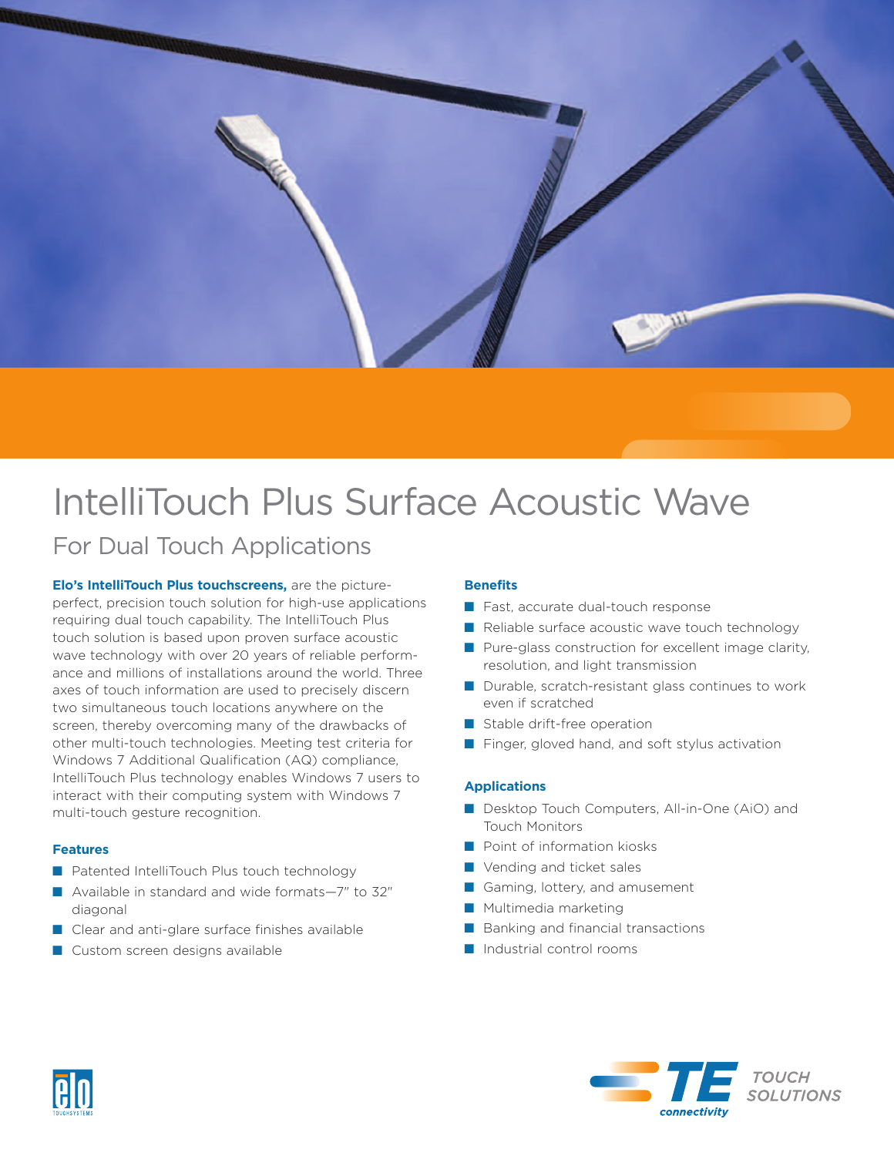

# IntelliTouch Plus Surface Acoustic Wave

## For Dual Touch Applications

**Elo's IntelliTouch Plus touchscreens,** are the pictureperfect, precision touch solution for high-use applications requiring dual touch capability. The IntelliTouch Plus touch solution is based upon proven surface acoustic wave technology with over 20 years of reliable performance and millions of installations around the world. Three axes of touch information are used to precisely discern two simultaneous touch locations anywhere on the screen, thereby overcoming many of the drawbacks of other multi-touch technologies. Meeting test criteria for Windows 7 Additional Qualification (AQ) compliance, IntelliTouch Plus technology enables Windows 7 users to interact with their computing system with Windows 7 multi-touch gesture recognition.

#### **Features**

- Patented IntelliTouch Plus touch technology
- Available in standard and wide formats–7" to 32" diagonal
- Clear and anti-glare surface finishes available
- Custom screen designs available

#### **Benefits**

- Fast, accurate dual-touch response
- Reliable surface acoustic wave touch technology
- Pure-glass construction for excellent image clarity, resolution, and light transmission
- Durable, scratch-resistant glass continues to work even if scratched
- Stable drift-free operation
- Finger, gloved hand, and soft stylus activation

#### **Applications**

- Desktop Touch Computers, All-in-One (AiO) and Touch Monitors
- Point of information kiosks
- Vending and ticket sales
- Gaming, lottery, and amusement
- Multimedia marketing
- Banking and financial transactions
- Industrial control rooms